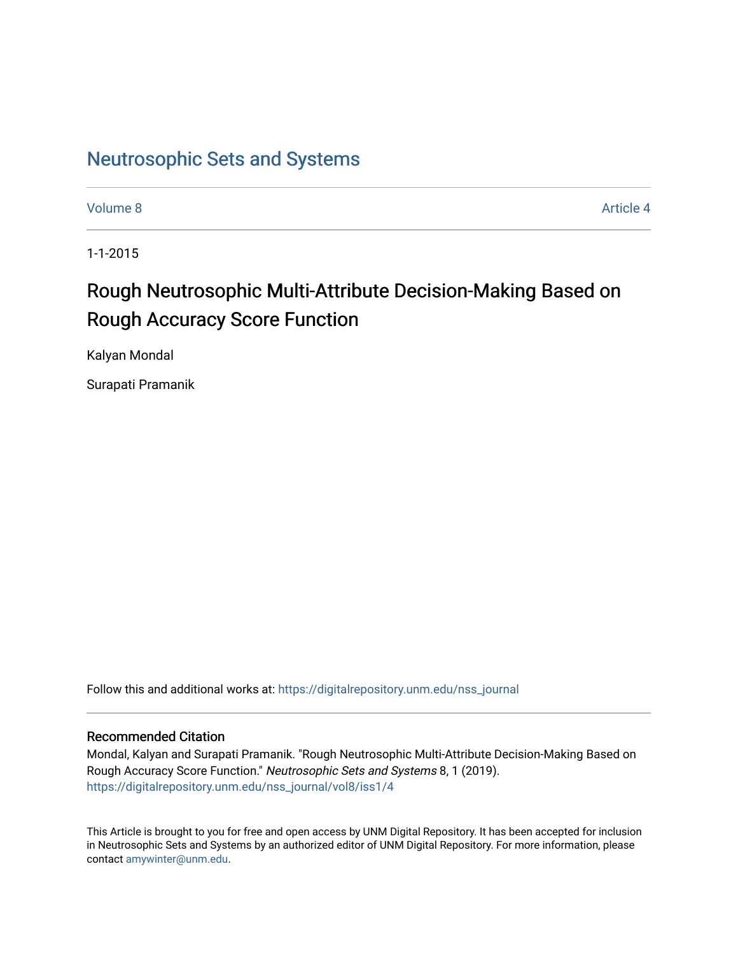### [Neutrosophic Sets and Systems](https://digitalrepository.unm.edu/nss_journal)

[Volume 8](https://digitalrepository.unm.edu/nss_journal/vol8) Article 4

1-1-2015

# Rough Neutrosophic Multi-Attribute Decision-Making Based on Rough Accuracy Score Function

Kalyan Mondal

Surapati Pramanik

Follow this and additional works at: [https://digitalrepository.unm.edu/nss\\_journal](https://digitalrepository.unm.edu/nss_journal?utm_source=digitalrepository.unm.edu%2Fnss_journal%2Fvol8%2Fiss1%2F4&utm_medium=PDF&utm_campaign=PDFCoverPages) 

### Recommended Citation

Mondal, Kalyan and Surapati Pramanik. "Rough Neutrosophic Multi-Attribute Decision-Making Based on Rough Accuracy Score Function." Neutrosophic Sets and Systems 8, 1 (2019). [https://digitalrepository.unm.edu/nss\\_journal/vol8/iss1/4](https://digitalrepository.unm.edu/nss_journal/vol8/iss1/4?utm_source=digitalrepository.unm.edu%2Fnss_journal%2Fvol8%2Fiss1%2F4&utm_medium=PDF&utm_campaign=PDFCoverPages) 

This Article is brought to you for free and open access by UNM Digital Repository. It has been accepted for inclusion in Neutrosophic Sets and Systems by an authorized editor of UNM Digital Repository. For more information, please contact [amywinter@unm.edu](mailto:amywinter@unm.edu).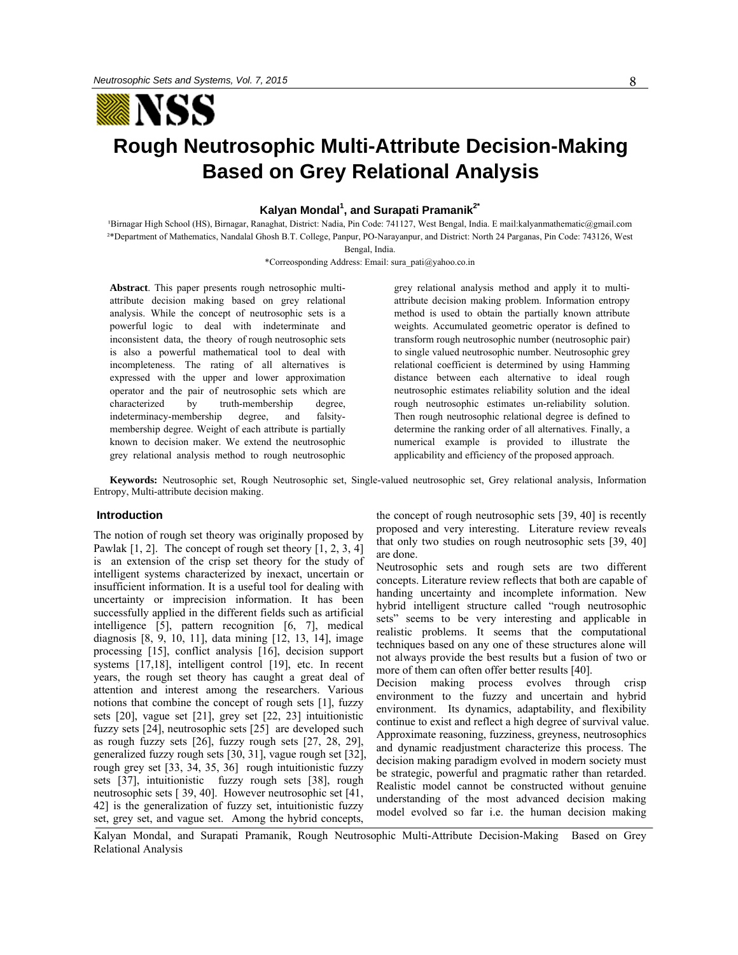

# **Rough Neutrosophic Multi-Attribute Decision-Making Based on Grey Relational Analysis**

**Kalyan Mondal<sup>1</sup>, and Surapati Pramanik<sup>2\*</sup>** 

Birnagar High School (HS), Birnagar, Ranaghat, District: Nadia, Pin Code: 741127, West Bengal, India. E mail:kalyanmathematic@gmail.com ²\*Department of Mathematics, Nandalal Ghosh B.T. College, Panpur, PO-Narayanpur, and District: North 24 Parganas, Pin Code: 743126, West Bengal, India.

\*Correosponding Address: Email: sura\_pati@yahoo.co.in

**Abstract**. This paper presents rough netrosophic multiattribute decision making based on grey relational analysis. While the concept of neutrosophic sets is a powerful logic to deal with indeterminate and inconsistent data, the theory of rough neutrosophic sets is also a powerful mathematical tool to deal with incompleteness. The rating of all alternatives is expressed with the upper and lower approximation operator and the pair of neutrosophic sets which are characterized by truth-membership degree, indeterminacy-membership degree, and falsitymembership degree. Weight of each attribute is partially known to decision maker. We extend the neutrosophic grey relational analysis method to rough neutrosophic

grey relational analysis method and apply it to multiattribute decision making problem. Information entropy method is used to obtain the partially known attribute weights. Accumulated geometric operator is defined to transform rough neutrosophic number (neutrosophic pair) to single valued neutrosophic number. Neutrosophic grey relational coefficient is determined by using Hamming distance between each alternative to ideal rough neutrosophic estimates reliability solution and the ideal rough neutrosophic estimates un-reliability solution. Then rough neutrosophic relational degree is defined to determine the ranking order of all alternatives. Finally, a numerical example is provided to illustrate the applicability and efficiency of the proposed approach.

**Keywords:** Neutrosophic set, Rough Neutrosophic set, Single-valued neutrosophic set, Grey relational analysis, Information Entropy, Multi-attribute decision making.

#### **Introduction**

The notion of rough set theory was originally proposed by Pawlak  $[1, 2]$ . The concept of rough set theory  $[1, 2, 3, 4]$ is an extension of the crisp set theory for the study of intelligent systems characterized by inexact, uncertain or insufficient information. It is a useful tool for dealing with uncertainty or imprecision information. It has been successfully applied in the different fields such as artificial intelligence [5], pattern recognition [6, 7], medical diagnosis [8, 9, 10, 11], data mining [12, 13, 14], image processing [15], conflict analysis [16], decision support systems [17,18], intelligent control [19], etc. In recent years, the rough set theory has caught a great deal of attention and interest among the researchers. Various notions that combine the concept of rough sets [1], fuzzy sets [20], vague set [21], grey set [22, 23] intuitionistic fuzzy sets [24], neutrosophic sets [25] are developed such as rough fuzzy sets [26], fuzzy rough sets [27, 28, 29], generalized fuzzy rough sets [30, 31], vague rough set [32], rough grey set [33, 34, 35, 36] rough intuitionistic fuzzy sets [37], intuitionistic fuzzy rough sets [38], rough neutrosophic sets [ 39, 40]. However neutrosophic set [41, 42] is the generalization of fuzzy set, intuitionistic fuzzy set, grey set, and vague set. Among the hybrid concepts,

the concept of rough neutrosophic sets [39, 40] is recently proposed and very interesting. Literature review reveals that only two studies on rough neutrosophic sets [39, 40] are done.

Neutrosophic sets and rough sets are two different concepts. Literature review reflects that both are capable of handing uncertainty and incomplete information. New hybrid intelligent structure called "rough neutrosophic sets" seems to be very interesting and applicable in realistic problems. It seems that the computational techniques based on any one of these structures alone will not always provide the best results but a fusion of two or more of them can often offer better results [40].

Decision making process evolves through crisp environment to the fuzzy and uncertain and hybrid environment. Its dynamics, adaptability, and flexibility continue to exist and reflect a high degree of survival value. Approximate reasoning, fuzziness, greyness, neutrosophics and dynamic readjustment characterize this process. The decision making paradigm evolved in modern society must be strategic, powerful and pragmatic rather than retarded. Realistic model cannot be constructed without genuine understanding of the most advanced decision making model evolved so far i.e. the human decision making

Kalyan Mondal, and Surapati Pramanik, Rough Neutrosophic Multi-Attribute Decision-Making Based on Grey Relational Analysis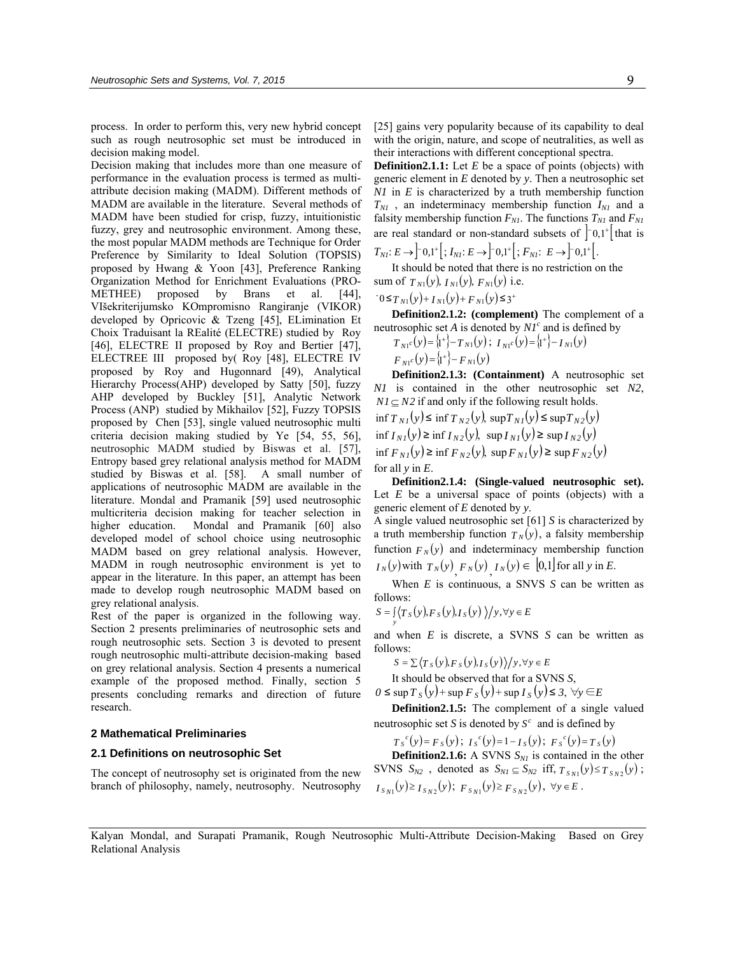process. In order to perform this, very new hybrid concept such as rough neutrosophic set must be introduced in decision making model.

Decision making that includes more than one measure of performance in the evaluation process is termed as multiattribute decision making (MADM). Different methods of MADM are available in the literature. Several methods of MADM have been studied for crisp, fuzzy, intuitionistic fuzzy, grey and neutrosophic environment. Among these, the most popular MADM methods are Technique for Order Preference by Similarity to Ideal Solution (TOPSIS) proposed by Hwang & Yoon [43], Preference Ranking Organization Method for Enrichment Evaluations (PRO-METHEE) proposed by Brans et al. [44], VIšekriterijumsko KOmpromisno Rangiranje (VIKOR) developed by Opricovic & Tzeng [45], ELimination Et Choix Traduisant la REalité (ELECTRE) studied by Roy [46], ELECTRE II proposed by Roy and Bertier [47], ELECTREE III proposed by( Roy [48], ELECTRE IV proposed by Roy and Hugonnard [49), Analytical Hierarchy Process(AHP) developed by Satty [50], fuzzy AHP developed by Buckley [51], Analytic Network Process (ANP) studied by Mikhailov [52], Fuzzy TOPSIS proposed by Chen [53], single valued neutrosophic multi criteria decision making studied by Ye [54, 55, 56], neutrosophic MADM studied by Biswas et al. [57], Entropy based grey relational analysis method for MADM studied by Biswas et al. [58]. A small number of applications of neutrosophic MADM are available in the literature. Mondal and Pramanik [59] used neutrosophic multicriteria decision making for teacher selection in higher education. Mondal and Pramanik [60] also developed model of school choice using neutrosophic MADM based on grey relational analysis. However, MADM in rough neutrosophic environment is yet to appear in the literature. In this paper, an attempt has been made to develop rough neutrosophic MADM based on grey relational analysis.

Rest of the paper is organized in the following way. Section 2 presents preliminaries of neutrosophic sets and rough neutrosophic sets. Section 3 is devoted to present rough neutrosophic multi-attribute decision-making based on grey relational analysis. Section 4 presents a numerical example of the proposed method. Finally, section 5 presents concluding remarks and direction of future research.

#### **2 Mathematical Preliminaries**

#### **2.1 Definitions on neutrosophic Set**

The concept of neutrosophy set is originated from the new branch of philosophy, namely, neutrosophy. Neutrosophy [25] gains very popularity because of its capability to deal with the origin, nature, and scope of neutralities, as well as their interactions with different conceptional spectra.

**Definition2.1.1:** Let *E* be a space of points (objects) with generic element in *E* denoted by *y*. Then a neutrosophic set *N1* in *E* is characterized by a truth membership function  $T_{NI}$ , an indeterminacy membership function  $I_{NI}$  and a falsity membership function  $F_{NI}$ . The functions  $T_{NI}$  and  $F_{NI}$ are real standard or non-standard subsets of  $\begin{bmatrix} 0 & 0 \\ 0 & 1 \end{bmatrix}$  that is  $T_{NI}: E \rightarrow \begin{bmatrix} 0, 1^+ \end{bmatrix}$ ;  $I_{NI}: E \rightarrow \begin{bmatrix} 0, 1^+ \end{bmatrix}$ ;  $F_{NI}: E \rightarrow \begin{bmatrix} 0, 1^+ \end{bmatrix}$ .

It should be noted that there is no restriction on the sum of  $T_{N1}(y)$ ,  $I_{N1}(y)$ ,  $F_{N1}(y)$  i.e.

$$
0 \leq T_{N1}(y) + I_{N1}(y) + F_{N1}(y) \leq 3^+
$$

**Definition2.1.2: (complement)** The complement of a neutrosophic set *A* is denoted by  $NI<sup>c</sup>$  and is defined by

$$
T_{N1}c(y) = \{t^+\} - T_{N1}(y); \ I_{N1}c(y) = \{t^+\} - T_{N1}(y)
$$
  

$$
F_{N1}c(y) = \{t^+\} - F_{N1}(y)
$$

**Definition2.1.3: (Containment)** A neutrosophic set *N1* is contained in the other neutrosophic set *N2*,  $NI \subset N2$  if and only if the following result holds.  $\int_{0}^{x} f(x) dx = \int_{0}^{x} f(x) dx = \int_{0}^{x} f(x) dx$ 

$$
\inf T_{NI}(y) \le \inf T_{N2}(y), \sup T_{NI}(y) \le \sup T_{N2}(y)
$$
  
if  $I_{NI}(y) \ge \inf I_{N2}(y)$ ,  $\sup T_{NI}(y) \ge \sup T_{N2}(y)$   
if  $F_{NI}(y) \ge \inf F_{N2}(y)$ ,  $\sup F_{NI}(y) \ge \sup F_{N2}(y)$   
for all y in E.

**Definition2.1.4: (Single-valued neutrosophic set).** Let *E* be a universal space of points (objects) with a generic element of *E* denoted by *y*.

A single valued neutrosophic set [61] *S* is characterized by a truth membership function  $T_N(y)$ , a falsity membership function  $F_N(y)$  and indeterminacy membership function *I*<sup>N</sup> (*y*) with  $T_N(y)$ ,  $F_N(y)$ ,  $I_N(y) \in [0,1]$  for all *y* in *E*.

When *E* is continuous, a SNVS *S* can be written as follows:

$$
S = \int_{\mathcal{Y}} \langle T_S(y), F_S(y), I_S(y) \rangle / y, \forall y \in E
$$

and when *E* is discrete, a SVNS *S* can be written as follows:

$$
S = \sum \langle T_s(y), F_s(y), I_s(y) \rangle / y, \forall y \in E
$$

It should be observed that for a SVNS *S*,

*0* ≤ sup  $T_s(y)$  + sup  $F_s(y)$  + sup  $I_s(y)$  ≤ 3,  $\forall y$  ∈  $E$ 

**Definition2.1.5:** The complement of a single valued neutrosophic set *S* is denoted by  $S^c$  and is defined by

 $T_{S}^{c}(y) = F_{S}(y);$   $I_{S}^{c}(y) = 1 - I_{S}(y);$   $F_{S}^{c}(y) = T_{S}(y)$ 

**Definition2.1.6:** A SVNS  $S_{NI}$  is contained in the other SVNS  $S_{N2}$ , denoted as  $S_{N1} \subseteq S_{N2}$  iff,  $T_{S_{N1}}(y) \le T_{S_{N2}}(y)$ ;  $I_{S_{N1}}(y) \geq I_{S_{N2}}(y);$   $F_{S_{N1}}(y) \geq F_{S_{N2}}(y),$   $\forall y \in E$ .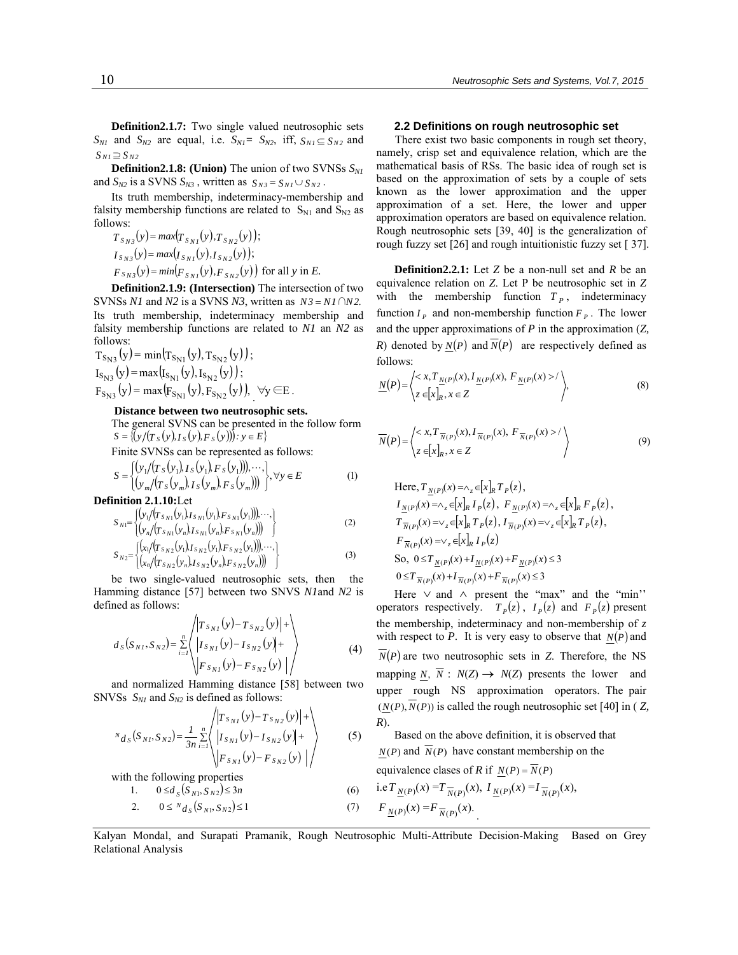**Definition2.1.7:** Two single valued neutrosophic sets  $S_{N1}$  and  $S_{N2}$  are equal, i.e.  $S_{N1} = S_{N2}$ , iff,  $S_{N1} \subseteq S_{N2}$  and  $S_{N1} \supseteq S_{N2}$ 

**Definition2.1.8:** (Union) The union of two SVNSs  $S_{NI}$ and  $S_{N2}$  is a SVNS  $S_{N3}$ , written as  $S_{N3} = S_{N1} \cup S_{N2}$ .

Its truth membership, indeterminacy-membership and falsity membership functions are related to  $S_{N1}$  and  $S_{N2}$  as follows:

 $T_{S_{N3}}(y) = max(T_{S_{N1}}(y), T_{S_{N2}}(y));$  $I_{S_{N1}}(y) = max(I_{S_{N1}}(y), I_{S_{N2}}(y));$  $F_{SN3}(y) = min(F_{SN1}(y), F_{SN2}(y))$  for all *y* in *E*.

**Definition2.1.9: (Intersection)** The intersection of two SVNSs *N1* and *N2* is a SVNS *N3*, written as  $N3 = NI \cap N2$ . Its truth membership, indeterminacy membership and falsity membership functions are related to *N1* an *N2* as follows:

 $T_{S_{N3}}(y) = min(T_{S_{N1}}(y), T_{S_{N2}}(y))$ ;  $I_{S_{N3}}(y) = max(I_{S_{N1}}(y), I_{S_{N2}}(y));$  $F_{S_{N3}}(y) = \max(F_{S_{N1}}(y), F_{S_{N2}}(y)), \forall y \in E$ .

#### **Distance between two neutrosophic sets.**

The general SVNS can be presented in the follow form  $S = \{ (y/(T_s(y), I_s(y), F_s(y))): y \in E \}$ 

Finite SVNSs can be represented as follows:

$$
S = \begin{cases} (y_1/(T_S(y_1), I_S(y_1), F_S(y_1))), \cdots, \\ (y_m/(T_S(y_m), I_S(y_m), F_S(y_m))) \end{cases}, \forall y \in E \tag{1}
$$

**Definition 2.1.10:**Let

$$
S_{N1} = \begin{cases} \left( y_1 / (T_{S_{N1}}(y_1) I_{S_{N1}}(y_1) F_{S_{N1}}(y_1)) \right), \cdots, \\ \left( y_n / (T_{S_{N1}}(y_n) I_{S_{N1}}(y_n) F_{S_{N1}}(y_n)) \right) \end{cases}
$$
 (2)

$$
S_{N2} = \begin{cases} \n\left\{ (x_1 / (T_{S_{N2}}(y_1), I_{S_{N2}}(y_1), F_{S_{N2}}(y_1))), \cdots, \atop (x_n / (T_{S_{N2}}(y_n), I_{S_{N2}}(y_n), F_{S_{N2}}(y_n))) \right\} \n\end{cases}
$$
\n(3)

 be two single-valued neutrosophic sets, then the Hamming distance [57] between two SNVS *N1*and *N2* is defined as follows:

$$
d_S(S_{NI}, S_{N2}) = \sum_{i=1}^n \left\langle \begin{vmatrix} T_{S_{NI}}(y) - T_{S_{N2}}(y) & + \\ I_{S_{NI}}(y) - I_{S_{N2}}(y) + \\ F_{S_{NI}}(y) - F_{S_{N2}}(y) \end{vmatrix} \right\rangle
$$
(4)

and normalized Hamming distance [58] between two SNVSs  $S_{N1}$  and  $S_{N2}$  is defined as follows:

$$
N_{d_S}(S_{N1}, S_{N2}) = \frac{1}{3n} \sum_{i=1}^n \left\langle \begin{array}{l} |T_{S_{N1}}(y) - T_{S_{N2}}(y)| + \\ |I_{S_{N1}}(y) - I_{S_{N2}}(y)| + \\ |F_{S_{N1}}(y) - F_{S_{N2}}(y)| \end{array} \right\rangle
$$
 (5)

with the following properties

#### 1.  $0 \le d_s(S_{N1}, S_{N2}) \le 3n$  (6)

2. 
$$
0 \leq N_{d_S}(S_{N_1}, S_{N_2}) \leq 1
$$
 (7)  $F_{\underline{N}(P)}(X_{N_1}, S_{N_2}) = 1$ 

#### **2.2 Definitions on rough neutrosophic set**

There exist two basic components in rough set theory, namely, crisp set and equivalence relation, which are the mathematical basis of RSs. The basic idea of rough set is based on the approximation of sets by a couple of sets known as the lower approximation and the upper approximation of a set. Here, the lower and upper approximation operators are based on equivalence relation. Rough neutrosophic sets [39, 40] is the generalization of rough fuzzy set [26] and rough intuitionistic fuzzy set [ 37].

**Definition2.2.1:** Let *Z* be a non-null set and *R* be an equivalence relation on *Z*. Let P be neutrosophic set in *Z* with the membership function  $T_p$ , indeterminacy function  $I_p$  and non-membership function  $F_p$ . The lower and the upper approximations of *P* in the approximation (*Z, R*) denoted by  $N(P)$  and  $\overline{N}(P)$  are respectively defined as follows:

$$
\underline{N}(P) = \left\langle \begin{matrix} < x, T_{\underline{N}(P)}(x), I_{\underline{N}(P)}(x), F_{\underline{N}(P)}(x) > / \\ z & \in [x]_R, x \in Z \end{matrix} \right\rangle,\tag{8}
$$

$$
\overline{N}(P) = \left\langle \begin{array}{c} \langle x, T_{\overline{N}(P)}(x), I_{\overline{N}(P)}(x), F_{\overline{N}(P)}(x) \rangle \\ \langle z \in [x]_R, x \in Z \end{array} \right\rangle \tag{9}
$$

So,  $0 \le T_{N(P)}(x) + I_{N(P)}(x) + F_{N(P)}(x) \le 3$ Here,  $T_{N(P)}(x) = \wedge_{z} \in [x]_R T_P(z)$ ,  $I_{N(P)}(x) = \wedge_{z} \in [x]_R I_P(z), F_{N(P)}(x) = \wedge_{z} \in [x]_R F_P(z),$  $T_{\overline{N}(P)}(x) = \vee_z \in [x]_R T_P(z), I_{\overline{N}(P)}(x) = \vee_z \in [x]_R T_P(z),$  $F_{\overline{N}(P)}(x) = \vee_{z} \in [x]_R I_P(z)$  $0 \leq T_{\frac{1}{N}(P)}(x) + I_{\frac{1}{N}(P)}(x) + F_{\frac{1}{N}(P)}(x) \leq 3$ 

Here ∨ and ∧ present the "max" and the "min'' operators respectively.  $T<sub>p</sub>(z)$ ,  $I<sub>p</sub>(z)$  and  $F<sub>p</sub>(z)$  present the membership, indeterminacy and non-membership of *z* with respect to *P*. It is very easy to observe that  $N(P)$  and  $\overline{N}(P)$  are two neutrosophic sets in *Z*. Therefore, the NS mapping *N*,  $\overline{N}$  :  $N(Z) \rightarrow N(Z)$  presents the lower and upper rough NS approximation operators. The pair  $(N(P),\overline{N}(P))$  is called the rough neutrosophic set [40] in ( *Z*, *R*).

Based on the above definition, it is observed that  $N(P)$  and  $\overline{N}(P)$  have constant membership on the equivalence clases of *R* if  $N(P) = N(P)$  $\mathbf{r}$ 

1.61 
$$
\underline{N}(P)(x) = I \overline{N}(P)(x)
$$
,  $I \underline{N}(P)(x) = I \overline{N}(P)(x)$ ,  
\n $F \underline{N}(P)(x) = F \overline{N}(P)(x)$ .

Kalyan Mondal, and Surapati Pramanik, Rough Neutrosophic Multi-Attribute Decision-Making Based on Grey Relational Analysis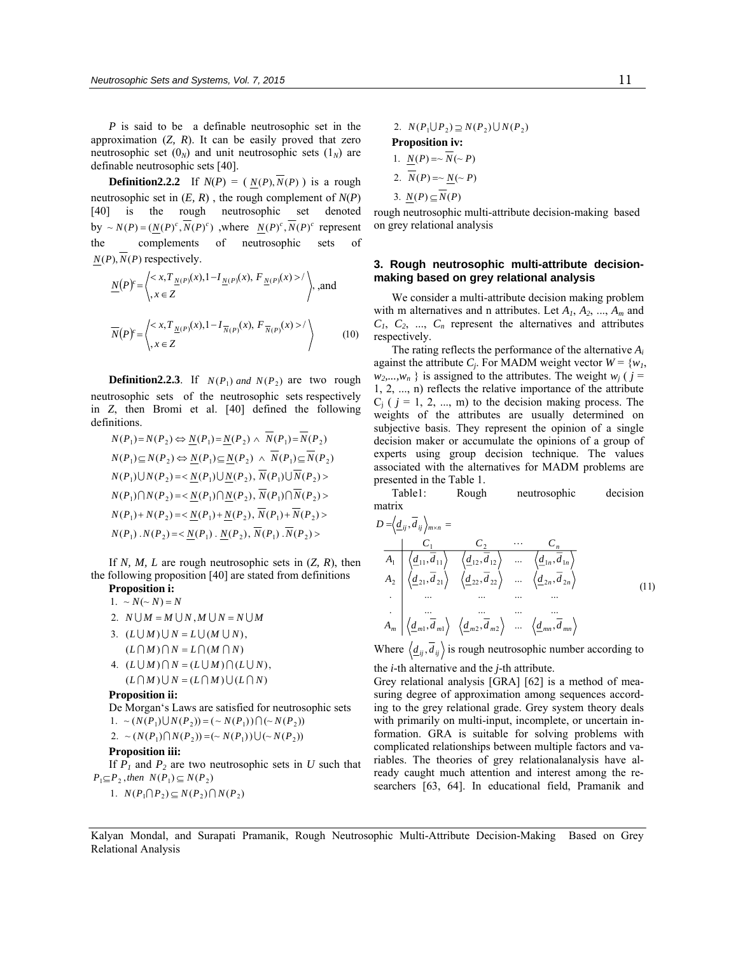*P* is said to be a definable neutrosophic set in the approximation (*Z, R*). It can be easily proved that zero neutrosophic set  $(0_N)$  and unit neutrosophic sets  $(1_N)$  are definable neutrosophic sets [40].

**Definition2.2.2** If  $N(P) = (N(P), \overline{N}(P))$  is a rough neutrosophic set in (*E, R*) , the rough complement of *N*(*P*) [40] is the rough neutrosophic set denoted by  $\sim N(P) = (N(P)^c, \overline{N}(P)^c)$ , where  $N(P)^c, \overline{N}(P)^c$  represent the complements of neutrosophic sets of  $N(P)$ ,  $N(P)$  respectively.

$$
\underline{N}(P)^c = \left\langle \begin{array}{l} < x, T_{\underline{N}(P)}(x), 1 - I_{\underline{N}(P)}(x), F_{\underline{N}(P)}(x) > / \\ x \in \mathbb{Z} & \end{array} \right\rangle, \text{ and }
$$
\n
$$
\overline{N}(P)^c = \left\langle \begin{array}{l} < x, T_{\underline{N}(P)}(x), 1 - I_{\overline{N}(P)}(x), F_{\overline{N}(P)}(x) > / \\ x \in \mathbb{Z} & \end{array} \right\rangle \tag{10}
$$

**Definition2.2.3**. If  $N(P_1)$  and  $N(P_2)$  are two rough neutrosophic sets of the neutrosophic sets respectively in *Z*, then Bromi et al. [40] defined the following definitions.

$$
N(P_1) = N(P_2) \Leftrightarrow \underline{N}(P_1) = \underline{N}(P_2) \wedge N(P_1) = N(P_2)
$$
  
\n
$$
N(P_1) \subseteq N(P_2) \Leftrightarrow \underline{N}(P_1) \subseteq \underline{N}(P_2) \wedge \overline{N}(P_1) \subseteq \overline{N}(P_2)
$$
  
\n
$$
N(P_1) \cup N(P_2) = \langle \underline{N}(P_1) \cup \underline{N}(P_2), \overline{N}(P_1) \cup \overline{N}(P_2) \rangle
$$
  
\n
$$
N(P_1) \cap N(P_2) = \langle \underline{N}(P_1) \cap \underline{N}(P_2), \overline{N}(P_1) \cap \overline{N}(P_2) \rangle
$$
  
\n
$$
N(P_1) + N(P_2) = \langle \underline{N}(P_1) + \underline{N}(P_2), \overline{N}(P_1) + \overline{N}(P_2) \rangle
$$
  
\n
$$
N(P_1) \cdot N(P_2) = \langle \underline{N}(P_1) \cdot \underline{N}(P_2), \overline{N}(P_1) \cdot \overline{N}(P_2) \rangle
$$

If *N, M, L* are rough neutrosophic sets in (*Z, R*), then the following proposition [40] are stated from definitions

#### **Proposition i:**   $1. \sim N(\sim N) = N$

- 2.  $N \bigcup M = M \bigcup N, M \bigcup N = N \bigcup M$
- $(L \cap M) \cap N = L \cap (M \cap N)$ 3.  $(L \cup M) \cup N = L \cup (M \cup N)$ , 4.  $(L \cup M) \cap N = (L \cup M) \cap (L \cup N)$ ,
- $(L \cap M) \cup N = (L \cap M) \cup (L \cap N)$

#### **Proposition ii:**

De Morgan's Laws are satisfied for neutrosophic sets 1.  $\sim (N(P_1) \cup N(P_2)) = (\sim N(P_1)) \cap (\sim N(P_2))$ 

2. 
$$
\sim (N(P_1) \cap N(P_2)) = (\sim N(P_1)) \cup (\sim N(P_2))
$$

#### **Proposition iii:**

If  $P_1$  and  $P_2$  are two neutrosophic sets in  $U$  such that  $P_1 \subseteq P_2$ , then  $N(P_1) \subseteq N(P_2)$ 

1.  $N(P_1 \cap P_2) \subseteq N(P_2) \cap N(P_2)$ 

2. 
$$
N(P_1 \cup P_2) \supseteq N(P_2) \cup N(P_2)
$$
  
\n**Proposition iv:**  
\n1.  $N(P) = \sqrt{N}(\sim P)$ 

2. 
$$
\overline{N}(P) = \sim \underline{N}(\sim P)
$$

3. 
$$
N(P) \subseteq N(P)
$$

rough neutrosophic multi-attribute decision-making based on grey relational analysis

#### **3. Rough neutrosophic multi-attribute decisionmaking based on grey relational analysis**

We consider a multi-attribute decision making problem with m alternatives and n attributes. Let *A1*, *A2*, ..., *Am* and  $C_1$ ,  $C_2$ , ...,  $C_n$  represent the alternatives and attributes respectively.

The rating reflects the performance of the alternative *Ai* against the attribute  $C_j$ . For MADM weight vector  $W = \{w_1, w_2\}$  $w_2,...,w_n$  } is assigned to the attributes. The weight  $w_j$  ( $j =$ 1, 2, ..., n) reflects the relative importance of the attribute  $C_i$  (  $j = 1, 2, ..., m$ ) to the decision making process. The weights of the attributes are usually determined on subjective basis. They represent the opinion of a single decision maker or accumulate the opinions of a group of experts using group decision technique. The values associated with the alternatives for MADM problems are presented in the Table 1.

Table1: Rough neutrosophic decision matrix

)11( , ,..., .... ......... .... ......... , ,..., , ,..., , 11 22 21212 2222 22 11111 1212 11 1 2 *mmm mm mnmn nn nn n nmijij ddddA dd ddddA dd ddddA dd C C C ddD* L = <sup>×</sup> =

Where  $\langle \underline{d}_{ij}, \overline{d}_{ij} \rangle$  is rough neutrosophic number according to

the *i*-th alternative and the *j*-th attribute.

Grey relational analysis [GRA] [62] is a method of measuring degree of approximation among sequences according to the grey relational grade. Grey system theory deals with primarily on multi-input, incomplete, or uncertain information. GRA is suitable for solving problems with complicated relationships between multiple factors and variables. The theories of grey relationalanalysis have already caught much attention and interest among the researchers [63, 64]. In educational field, Pramanik and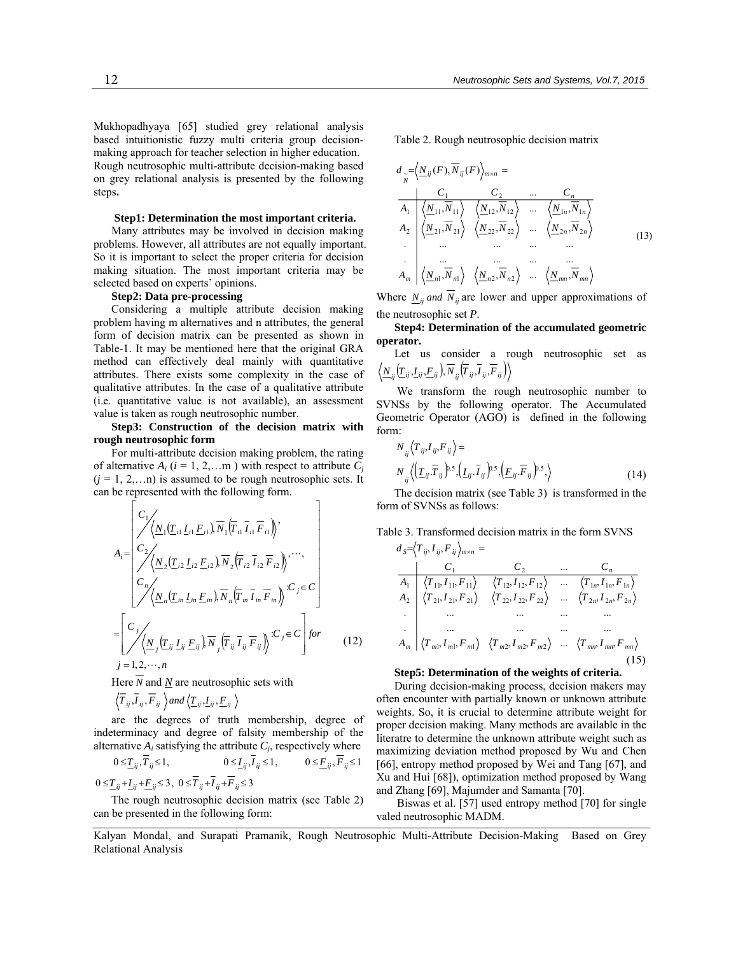Mukhopadhyaya [65] studied grey relational analysis based intuitionistic fuzzy multi criteria group decisionmaking approach for teacher selection in higher education. Rough neutrosophic multi-attribute decision-making based on grey relational analysis is presented by the following steps**.**

#### **Step1: Determination the most important criteria.**

Many attributes may be involved in decision making problems. However, all attributes are not equally important. So it is important to select the proper criteria for decision making situation. The most important criteria may be selected based on experts' opinions.

#### **Step2: Data pre-processing**

Considering a multiple attribute decision making problem having m alternatives and n attributes, the general form of decision matrix can be presented as shown in Table-1. It may be mentioned here that the original GRA method can effectively deal mainly with quantitative attributes. There exists some complexity in the case of qualitative attributes. In the case of a qualitative attribute (i.e. quantitative value is not available), an assessment value is taken as rough neutrosophic number.

**Step3: Construction of the decision matrix with rough neutrosophic form** 

For multi-attribute decision making problem, the rating of alternative  $A_i$  ( $i = 1, 2,...m$ ) with respect to attribute  $C_i$  $(j = 1, 2, \ldots n)$  is assumed to be rough neutrosophic sets. It can be represented with the following form.

$$
A_{i} = \begin{bmatrix} C_{1} \\ \sqrt{\langle N_{1}(T_{i1} L_{i1} E_{i1}), \overline{N}_{1}(T_{i1} \overline{I}_{i1} \overline{F}_{i1}) \rangle} \\ C_{2} \\ \sqrt{\langle N_{2}(T_{i2} L_{i2} E_{i2}), \overline{N}_{2}(T_{i2} \overline{I}_{i2} \overline{F}_{i2}) \rangle} \cdots, \\ C_{n} \\ \sqrt{\langle N_{n}(T_{in} L_{in} E_{in}), \overline{N}_{n}(T_{in} \overline{I}_{in} \overline{F}_{in}) \rangle} \cdots, \\ = \begin{bmatrix} C_{j} \\ \sqrt{\langle N_{j}(T_{ij} L_{ij} E_{ij}), \overline{N}_{j}(T_{ij} \overline{I}_{ij} \overline{F}_{ij}) \rangle} \cdots, \\ j = 1, 2, \cdots, n \end{bmatrix} \qquad (12)
$$

Here  $\overline{N}$  and  $\underline{N}$  are neutrosophic sets with

$$
\langle \overline{T}_{ij}, \overline{I}_{ij}, \overline{F}_{ij} \rangle
$$
 and  $\langle \underline{T}_{ij}, \underline{I}_{ij}, \underline{F}_{ij} \rangle$ 

are the degrees of truth membership, degree of indeterminacy and degree of falsity membership of the alternative  $A_i$  satisfying the attribute  $C_i$ , respectively where

*TT ijij* ≤≤ ,1,0 *II ijij* ≤≤ ,1,0 *FF ijij* ≤≤ 1,0

$$
0 \leq \underline{T}_{ij} + \underline{I}_{ij} + \underline{F}_{ij} \leq 3, \ 0 \leq T_{ij} + I_{ij} + F_{ij} \leq 3
$$

The rough neutrosophic decision matrix (see Table 2) can be presented in the following form:

Table 2. Rough neutrosophic decision matrix

$$
d_{\widetilde{N}} = \frac{C_1}{\sqrt{2}} \left\langle \frac{\Delta_{ij}(F), N_{ij}(F) \Delta_{m \times n}}{\Delta_1} \right\rangle =
$$
\n
$$
d_{\widetilde{N}} = \frac{C_1}{\sqrt{2}} \left\langle \frac{\Delta_{11}, \overline{N}_{11}}{\Delta_{21}} \right\rangle \left\langle \frac{\Delta_{12}, \overline{N}_{12}}{\Delta_{22}, \overline{N}_{22}} \right\rangle \cdots \left\langle \frac{\Delta_{1n}, \overline{N}_{1n}}{\Delta_{2n}, \overline{N}_{2n}} \right\rangle
$$
\n
$$
d_{\widetilde{N}} = \frac{C_1}{\sqrt{2}} \left\langle \frac{\Delta_{21}, \overline{N}_{21}}{\Delta_{21}} \right\rangle \left\langle \frac{\Delta_{22}, \overline{N}_{22}}{\Delta_{22}, \overline{N}_{22}} \right\rangle \cdots \left\langle \frac{\Delta_{2n}, \overline{N}_{2n}}{\Delta_{2n}, \overline{N}_{2n}} \right\rangle
$$
\n
$$
d_{\widetilde{N}} = \frac{C_1}{\sqrt{2}} \left\langle \frac{\Delta_{2n}, \overline{N}_{n1}}{\Delta_{2n}, \overline{N}_{n2}} \right\rangle \left\langle \frac{\Delta_{2n}, \overline{N}_{n2}}{\Delta_{2n}, \overline{N}_{n2}} \right\rangle \cdots \left\langle \frac{\Delta_{mn}, \overline{N}_{mn}}{\Delta_{mn}, \overline{N}_{mn}} \right\rangle
$$
\n(13)

Where  $N_{ij}$  *and*  $\overline{N}_{ij}$  are lower and upper approximations of the neutrosophic set *P*.

**Step4: Determination of the accumulated geometric operator.** Let us consider a rough neutrosophic set as

Let us consider a rough neutrosophic set as 
$$
\langle \underline{N}_{ij}(\underline{T}_{ij},\underline{I}_{ij},\underline{F}_{ij}), \overline{N}_{ij}(\overline{T}_{ij},\overline{I}_{ij},\overline{F}_{ij})\rangle
$$

We transform the rough neutrosophic number to SVNSs by the following operator. The Accumulated Geometric Operator (AGO) is defined in the following form:

$$
N_{ij}\langle T_{ij}, I_{ij}, F_{ij}\rangle =
$$
  
\n
$$
N_{ij}\langle \left(\underline{T}_{ij}, \overline{T}_{ij}\right)^{b} S, \left(\underline{I}_{ij}, \overline{I}_{ij}\right)^{b} S, \left(\underline{F}_{ij}, \overline{F}_{ij}\right)^{b} S, \rangle
$$
 (14)

The decision matrix (see Table 3) is transformed in the form of SVNSs as follows:

Table 3. Transformed decision matrix in the form SVNS

$$
d_{S} = \langle T_{ij}, I_{ij}, F_{ij} \rangle_{m \times n} =
$$
\n
$$
A_{1} \quad \langle T_{11}, I_{11}, F_{11} \rangle \quad \langle T_{12}, I_{12}, F_{12} \rangle \quad \dots \quad \langle T_{1n}, I_{1n}, F_{1n} \rangle
$$
\n
$$
A_{2} \quad \langle T_{21}, I_{21}, F_{21} \rangle \quad \langle T_{22}, I_{22}, F_{22} \rangle \quad \dots \quad \langle T_{2n}, I_{2n}, F_{2n} \rangle
$$
\n
$$
\dots \quad \dots \quad \dots \quad \dots
$$
\n
$$
A_{m} \quad \langle T_{m1}, I_{m1}, F_{m1} \rangle \quad \langle T_{m2}, I_{m2}, F_{m2} \rangle \quad \dots \quad \langle T_{mn}, I_{mn}, F_{mn} \rangle
$$
\n(15)

#### **Step5: Determination of the weights of criteria.**

During decision-making process, decision makers may often encounter with partially known or unknown attribute weights. So, it is crucial to determine attribute weight for proper decision making. Many methods are available in the literatre to determine the unknown attribute weight such as maximizing deviation method proposed by Wu and Chen [66], entropy method proposed by Wei and Tang [67], and Xu and Hui [68]), optimization method proposed by Wang and Zhang [69], Majumder and Samanta [70].

 Biswas et al. [57] used entropy method [70] for single valed neutrosophic MADM.

Kalyan Mondal, and Surapati Pramanik, Rough Neutrosophic Multi-Attribute Decision-Making Based on Grey Relational Analysis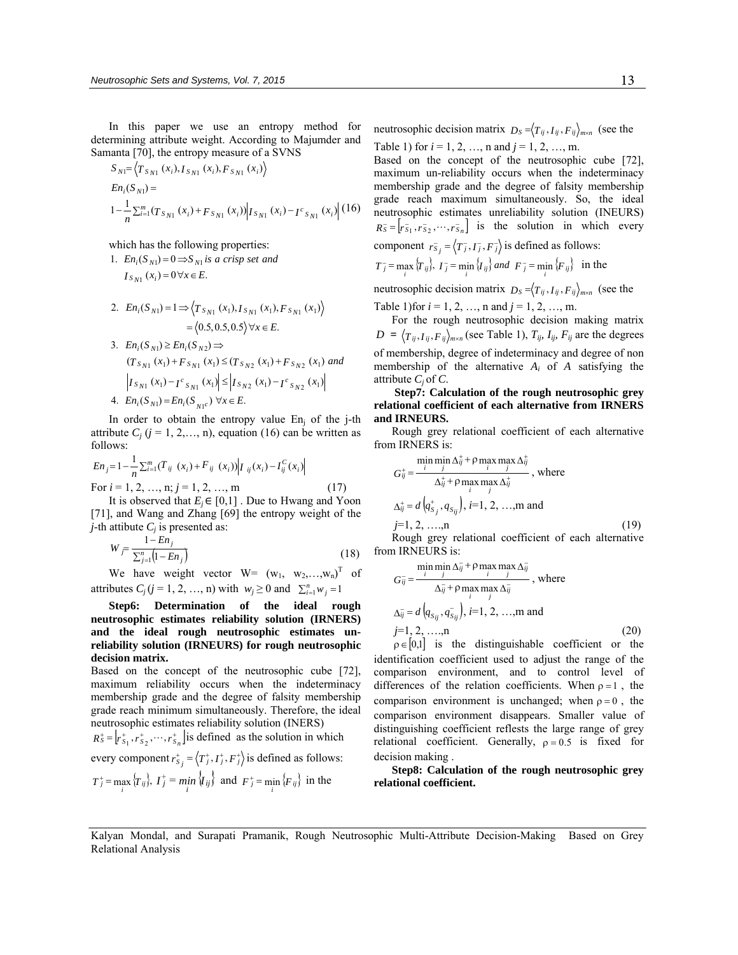In this paper we use an entropy method for determining attribute weight. According to Majumder and Samanta [70], the entropy measure of a SVNS

$$
S_{N1} = \langle T_{S_{N1}}(x_i), I_{S_{N1}}(x_i), F_{S_{N1}}(x_i) \rangle
$$
  
\n
$$
En_i(S_{N1}) =
$$
  
\n
$$
1 - \frac{1}{n} \sum_{i=1}^{m} (T_{S_{N1}}(x_i) + F_{S_{N1}}(x_i)) | I_{S_{N1}}(x_i) - I_{S_{N1}}(x_i) | (16)
$$

which has the following properties:

*I*<sub>*SN*<sup>1</sup></sub> (*x*<sub>*i*</sub>) = 0∀*x* ∈ *E*. 1.  $En_i(S_{N1}) = 0 \implies S_{N1}$  *is a crisp set and* 

- $=\langle 0.5, 0.5, 0.5 \rangle \forall x \in E.$ 2.  $En_i(S_{N1}) = 1 \Rightarrow \left\langle Ts_{N1}(x_1), Is_{N1}(x_1), Fs_{N1}(x_1) \right\rangle$ 3.  $En_i(S_{N1}) \geq En_i(S_{N2}) \Rightarrow$
- $|I_{S_{N1}}(x_1) I_{S_{N1}}(x_1)| \le |I_{S_{N2}}(x_1) I_{S_{N2}}(x_1)|$  $(T_{S_{N1}}(x_1) + F_{S_{N1}}(x_1) \le (T_{S_{N2}}(x_1) + F_{S_{N2}}(x_1))$  and 4.  $En_i(S_{N1}) = En_i(S_{N1}^c) \,\forall x \in E.$

In order to obtain the entropy value  $En<sub>i</sub>$  of the j-th attribute  $C_i$  ( $j = 1, 2, \ldots, n$ ), equation (16) can be written as follows:

$$
En_j = 1 - \frac{1}{n} \sum_{i=1}^{m} (T_{ij} (x_i) + F_{ij} (x_i)) |I_{ij}(x_i) - I_{ij}^C(x_i)|
$$
  
For  $i = 1, 2, ..., n; j = 1, 2, ..., m$  (17)

It is observed that  $E_i \in [0,1]$ . Due to Hwang and Yoon [71], and Wang and Zhang [69] the entropy weight of the *j*-th attibute  $C_i$  is presented as:

$$
W_{\bar{f}} = \frac{1 - E n_j}{\sum_{j=1}^{n} (1 - E n_j)}
$$
(18)

We have weight vector  $W = (w_1, w_2,...,w_n)^T$  of attributes  $C_j$  (*j* = 1, 2, …, n) with  $w_j \ge 0$  and  $\sum_{i=1}^n w_j = 1$ 

**Step6: Determination of the ideal rough neutrosophic estimates reliability solution (IRNERS) and the ideal rough neutrosophic estimates unreliability solution (IRNEURS) for rough neutrosophic decision matrix.**

Based on the concept of the neutrosophic cube [72], maximum reliability occurs when the indeterminacy membership grade and the degree of falsity membership grade reach minimum simultaneously. Therefore, the ideal neutrosophic estimates reliability solution (INERS)

 $R_S^+ = \left[ r_{S_1}^+, r_{S_2}^+, \cdots, r_{S_n}^+ \right]$  is defined as the solution in which

every component  $r_{S_j}^+ = \langle T_j^+, I_j^+, F_j^+ \rangle$  is defined as follows:

$$
T_j^+ = \max_i \{T_{ij}\}, \ I_j^+ = \min_i \{I_{ij}\}\
$$
 and  $F_j^+ = \min_i \{F_{ij}\}\$  in the

neutrosophic decision matrix  $D_S = \langle T_{ij}, I_{ij}, F_{ij} \rangle_{m \times n}$  (see the Table 1) for  $i = 1, 2, ..., n$  and  $j = 1, 2, ..., m$ .

Based on the concept of the neutrosophic cube [72], maximum un-reliability occurs when the indeterminacy membership grade and the degree of falsity membership grade reach maximum simultaneously. So, the ideal neutrosophic estimates unreliability solution (INEURS)  $R_s^- = [r_{s_1}^-, r_{s_2}^-, \cdots, r_{s_n}^+]$  is the solution in which every component  $r_{s_j} = \langle T_j, T_j, F_j \rangle$  is defined as follows:

$$
T_j^- = \max_i \{T_{ij}\}, \quad I_j^- = \min_i \{I_{ij}\} \quad \text{and} \quad F_j^- = \min_i \{F_{ij}\} \quad \text{in the}
$$

neutrosophic decision matrix  $D_s = \langle T_{ij}, I_{ij}, F_{ij} \rangle_{m \times n}$  (see the

Table 1) for  $i = 1, 2, ..., n$  and  $j = 1, 2, ..., m$ .

For the rough neutrosophic decision making matrix  $D = \langle T_{ij}, I_{ij}, F_{ij} \rangle_{m \times n}$  (see Table 1),  $T_{ij}, I_{ij}, F_{ij}$  are the degrees of membership, degree of indeterminacy and degree of non membership of the alternative  $A_i$  of  $A$  satisfying the attribute  $C_i$  of  $C_i$ .

 **Step7: Calculation of the rough neutrosophic grey relational coefficient of each alternative from IRNERS and IRNEURS.** 

Rough grey relational coefficient of each alternative from IRNERS is:

$$
G_{ij}^{+} = \frac{\min_{i} \min_{j} \Delta_{ij}^{+} + \rho \max_{i} \max_{j} \Delta_{ij}^{+}}{\Delta_{ij}^{+} + \rho \max_{i} \max_{j} \Delta_{ij}^{+}}, \text{ where}
$$
  
\n
$$
\Delta_{ij}^{+} = d \left( q_{S_j}^{+}, q_{S_{ij}} \right), i=1, 2, ..., m \text{ and}
$$
  
\n
$$
j=1, 2, ..., n \tag{19}
$$

Rough grey relational coefficient of each alternative from IRNEURS is:

$$
G_{ij}^{\dagger} = \frac{\min_{j} \min_{j} \Delta_{ij}^{\dagger} + \rho \max_{i} \max_{j} \Delta_{ij}^{\dagger}}{\Delta_{ij}^{\dagger} + \rho \max_{i} \max_{j} \Delta_{ij}^{\dagger}}, \text{ where}
$$
  
\n
$$
\Delta_{ij}^{\dagger} = d \left( q_{S_{ij}}, q_{S_{ij}}^{\dagger} \right), \text{ } i=1, 2, ..., \text{m and}
$$
  
\n
$$
j=1, 2, ..., \text{n}
$$
 (20)

 $\rho \in [0,1]$  is the distinguishable coefficient or the identification coefficient used to adjust the range of the comparison environment, and to control level of differences of the relation coefficients. When  $\rho = 1$ , the comparison environment is unchanged; when  $\rho = 0$ , the comparison environment disappears. Smaller value of distinguishing coefficient reflests the large range of grey relational coefficient. Generally,  $\rho = 0.5$  is fixed for decision making .

**Step8: Calculation of the rough neutrosophic grey relational coefficient.** 

Kalyan Mondal, and Surapati Pramanik, Rough Neutrosophic Multi-Attribute Decision-Making Based on Grey Relational Analysis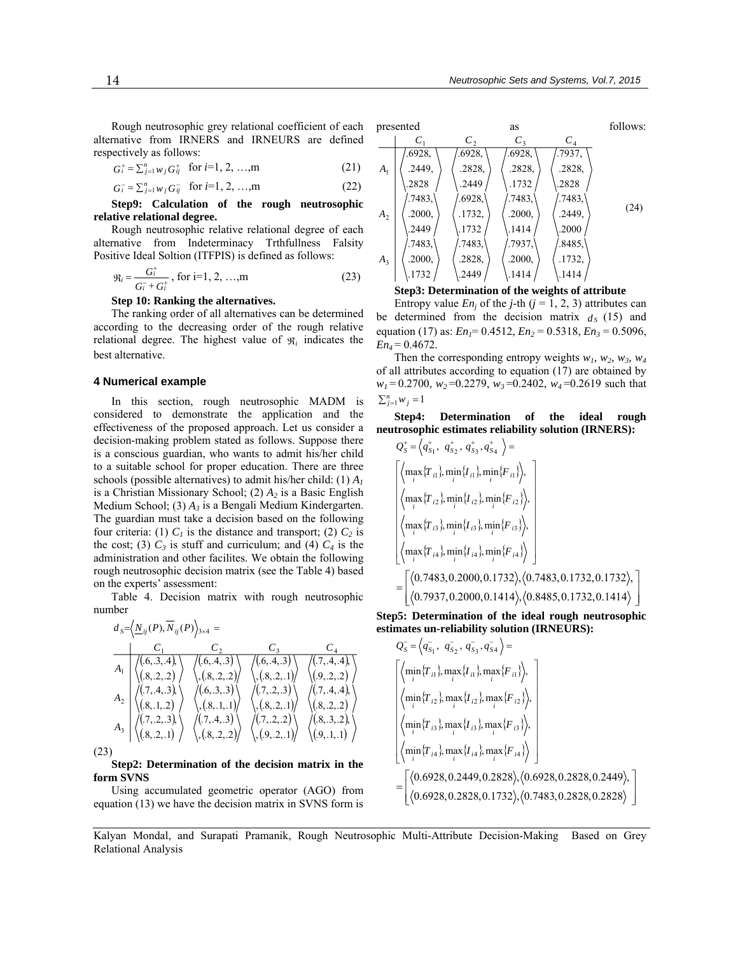Rough neutrosophic grey relational coefficient of each alternative from IRNERS and IRNEURS are defined respectively as follows:

$$
G_i^+ = \sum_{j=1}^n w_j G_{ij}^+ \text{ for } i=1, 2, ..., m
$$
 (21)

$$
G_i^- = \sum_{j=1}^n w_j G_{ij}^- \text{ for } i=1, 2, ..., m \tag{22}
$$

**Step9: Calculation of the rough neutrosophic relative relational degree.** 

Rough neutrosophic relative relational degree of each alternative from Indeterminacy Trthfullness Falsity Positive Ideal Soltion (ITFPIS) is defined as follows:

$$
\mathfrak{R}_i = \frac{G_i^+}{G_i^- + G_i^+}, \text{ for } i=1, 2, ..., m \tag{23}
$$

**Step 10: Ranking the alternatives.** 

The ranking order of all alternatives can be determined according to the decreasing order of the rough relative relational degree. The highest value of  $\mathfrak{R}_i$  indicates the best alternative.

#### **4 Numerical example**

In this section, rough neutrosophic MADM is considered to demonstrate the application and the effectiveness of the proposed approach. Let us consider a decision-making problem stated as follows. Suppose there is a conscious guardian, who wants to admit his/her child to a suitable school for proper education. There are three schools (possible alternatives) to admit his/her child: (1) *A1* is a Christian Missionary School; (2) *A2* is a Basic English Medium School; (3) *A3* is a Bengali Medium Kindergarten. The guardian must take a decision based on the following four criteria: (1)  $C_1$  is the distance and transport; (2)  $C_2$  is the cost; (3)  $C_3$  is stuff and curriculum; and (4)  $C_4$  is the administration and other facilites. We obtain the following rough neutrosophic decision matrix (see the Table 4) based on the experts' assessment:

Table 4. Decision matrix with rough neutrosophic number

$$
d_{S} = \left\langle \underline{N}_{ij}(P), \overline{N}_{ij}(P) \right\rangle_{3 \times 4} =
$$
\n
$$
A_{1} \quad \left\langle \begin{array}{ccc} (6,3,4) \\ (8,2,2) \end{array} \right\rangle \quad \left\langle (6,4,3) \right\rangle \quad \left\langle (6,4,3) \right\rangle \quad \left\langle (7,4,4) \right\rangle
$$
\n
$$
A_{2} \quad \left\langle (7,4,3) \right\rangle \quad \left\langle (6,3,3) \right\rangle \quad \left\langle (6,3,3) \right\rangle \quad \left\langle (7,2,3) \right\rangle \quad \left\langle (9,2,2) \right\rangle
$$
\n
$$
A_{3} \quad \left\langle (8,1,2) \right\rangle \quad \left\langle (8,1,1) \right\rangle \quad \left\langle (8,2,2) \right\rangle \quad \left\langle (7,4,3) \right\rangle \quad \left\langle (7,2,2) \right\rangle \quad \left\langle (8,2,2) \right\rangle
$$
\n
$$
A_{4} \quad \left\langle (8,1,2) \right\rangle \quad \left\langle (8,1,1) \right\rangle \quad \left\langle (8,2,1) \right\rangle \quad \left\langle (8,2,2) \right\rangle
$$
\n
$$
A_{5} \quad \left\langle (8,2,1) \right\rangle \quad \left\langle (8,2,2) \right\rangle \quad \left\langle (8,2,2) \right\rangle \quad \left\langle (8,2,2) \right\rangle \quad \left\langle (9,2,1) \right\rangle \quad \left\langle (9,1,1) \right\rangle
$$

(23)

**Step2: Determination of the decision matrix in the form SVNS** 

Using accumulated geometric operator (AGO) from equation (13) we have the decision matrix in SVNS form is

| presented      |         | as      |         |        | follows: |
|----------------|---------|---------|---------|--------|----------|
|                | $C_{1}$ | $C_{2}$ | $C_{3}$ | $C_4$  |          |
| A <sub>1</sub> | .6928,  | .6928,  | .6928,  | .7937, | (24)     |
|                | .2449.  | .2828,  | .2828,  | .2828, |          |
|                | .2828   | .2449   | .1732   | .2828  |          |
| A <sub>2</sub> | .7483,  | .6928,  | .7483,  | .7483, |          |
|                | .2000,  | .1732,  | .2000,  | .2449. |          |
|                | 2449    | .1732   | .1414   | .2000  |          |
| A <sub>3</sub> | .7483,  | .7483,  | .7937,  | .8485, |          |
|                | .2000,  | .2828.  | .2000,  | .1732, |          |
|                | .1732   | .2449   | .1414   | .1414  |          |
|                |         |         |         |        |          |

#### **Step3: Determination of the weights of attribute**

Entropy value  $En<sub>i</sub>$  of the *j*-th ( $j = 1, 2, 3$ ) attributes can be determined from the decision matrix  $d<sub>S</sub>$  (15) and equation (17) as: *En<sub>1</sub>*= 0.4512, *En<sub>2</sub>* = 0.5318, *En<sub>3</sub>* = 0.5096,  $En_4 = 0.4672$ .

Then the corresponding entropy weights  $w_1$ ,  $w_2$ ,  $w_3$ ,  $w_4$ of all attributes according to equation (17) are obtained by  $w_1 = 0.2700$ ,  $w_2 = 0.2279$ ,  $w_3 = 0.2402$ ,  $w_4 = 0.2619$  such that  $\sum_{j=1}^{n} w_j = 1$ 

**Step4: Determination of the ideal rough neutrosophic estimates reliability solution (IRNERS):** 

$$
Q_{5}^{+} = \left\langle q_{5_{1}}^{+}, q_{5_{2}}^{+}, q_{5_{3}}^{+}, q_{5_{4}}^{+} \right\rangle =
$$
\n
$$
\left\{ \left\langle \max_{i} \{T_{i1}\} \min_{i} \{I_{i1}\} \min_{i} \{F_{i1}\} \right\rangle, \atop \left\langle \max_{i} \{T_{i2}\} \min_{i} \{I_{i2}\} \min_{i} \{F_{i2}\} \right\rangle, \atop \left\langle \max_{i} \{T_{i3}\} \min_{i} \{I_{i3}\} \min_{i} \{F_{i3}\} \right\rangle, \atop \left\langle \max_{i} \{T_{i4}\} \min_{i} \{I_{i4}\} \min_{i} \{F_{i4}\} \right\rangle \right\}
$$
\n
$$
= \left[ \left\langle 0.7483, 0.2000, 0.1732 \right\rangle, \left\langle 0.7483, 0.1732, 0.1732 \right\rangle, \atop \left\langle 0.7937, 0.2000, 0.1414 \right\rangle, \left\langle 0.8485, 0.1732, 0.1414 \right\rangle \right]
$$

**Step5: Determination of the ideal rough neutrosophic estimates un-reliability solution (IRNEURS):** 

$$
Q_{s}^{-} = \left\langle q_{s_{1}}^{-}, q_{s_{2}}^{-}, q_{s_{3}}^{-}, q_{s_{4}}^{-} \right\rangle = \left[ \left\langle \min_{i} \{T_{i1}\}, \max_{i} \{I_{i1}\}, \max_{i} \{F_{i1}\} \right\rangle, \left\langle \min_{i} \{T_{i2}\}, \max_{i} \{I_{i2}\}, \max_{i} \{F_{i2}\} \right\rangle, \left\langle \min_{i} \{T_{i3}\}, \max_{i} \{I_{i3}\}, \max_{i} \{F_{i3}\} \right\rangle, \left\langle \min_{i} \{T_{i4}\}, \max_{i} \{I_{i4}\}, \max_{i} \{F_{i4}\} \right\rangle \right] = \left[ \left\langle 0.6928, 0.2449, 0.2828 \right\rangle, \left\langle 0.6928, 0.2828, 0.1732 \right\rangle, \left\langle 0.7483, 0.2828, 0.2828 \right\rangle \right]
$$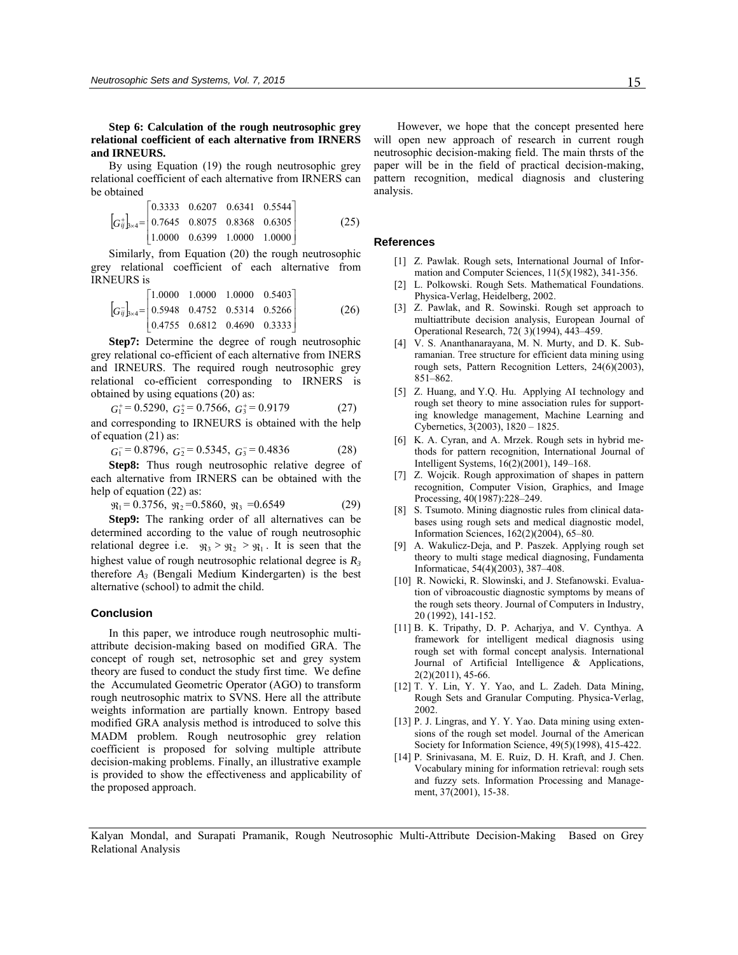**Step 6: Calculation of the rough neutrosophic grey relational coefficient of each alternative from IRNERS and IRNEURS.** 

By using Equation (19) the rough neutrosophic grey relational coefficient of each alternative from IRNERS can be obtained

$$
\left[G_{ij}^{+}\right]_{s\times 4} = \begin{bmatrix} 0.3333 & 0.6207 & 0.6341 & 0.5544 \\ 0.7645 & 0.8075 & 0.8368 & 0.6305 \\ 1.0000 & 0.6399 & 1.0000 & 1.0000 \end{bmatrix}
$$
(25)

Similarly, from Equation (20) the rough neutrosophic grey relational coefficient of each alternative from IRNEURS is

$$
\[G_{ij}\]_{\ge 4} = \begin{bmatrix} 1.0000 & 1.0000 & 1.0000 & 0.5403 \\ 0.5948 & 0.4752 & 0.5314 & 0.5266 \\ 0.4755 & 0.6812 & 0.4690 & 0.3333 \end{bmatrix}
$$
(26)

**Step7:** Determine the degree of rough neutrosophic grey relational co-efficient of each alternative from INERS and IRNEURS. The required rough neutrosophic grey relational co-efficient corresponding to IRNERS is obtained by using equations (20) as:

 $G_1^+ = 0.5290, G_2^+ = 0.7566, G_3^+ = 0.9179$  (27)

and corresponding to IRNEURS is obtained with the help of equation (21) as:

 $G_1^{\text{-}} = 0.8796, G_2^{\text{-}} = 0.5345, G_3^{\text{-}} = 0.4836$  (28)

**Step8:** Thus rough neutrosophic relative degree of each alternative from IRNERS can be obtained with the help of equation (22) as:

$$
\mathfrak{R}_1 = 0.3756, \ \mathfrak{R}_2 = 0.5860, \ \mathfrak{R}_3 = 0.6549 \tag{29}
$$

**Step9:** The ranking order of all alternatives can be determined according to the value of rough neutrosophic relational degree i.e.  $\Re_3 > \Re_2 > \Re_1$ . It is seen that the highest value of rough neutrosophic relational degree is  $R_3$ therefore  $A_3$  (Bengali Medium Kindergarten) is the best alternative (school) to admit the child.

#### **Conclusion**

In this paper, we introduce rough neutrosophic multiattribute decision-making based on modified GRA. The concept of rough set, netrosophic set and grey system theory are fused to conduct the study first time. We define the Accumulated Geometric Operator (AGO) to transform rough neutrosophic matrix to SVNS. Here all the attribute weights information are partially known. Entropy based modified GRA analysis method is introduced to solve this MADM problem. Rough neutrosophic grey relation coefficient is proposed for solving multiple attribute decision-making problems. Finally, an illustrative example is provided to show the effectiveness and applicability of the proposed approach.

 However, we hope that the concept presented here will open new approach of research in current rough neutrosophic decision-making field. The main thrsts of the paper will be in the field of practical decision-making, pattern recognition, medical diagnosis and clustering analysis.

#### **References**

- [1] Z. Pawlak. Rough sets, International Journal of Information and Computer Sciences, 11(5)(1982), 341-356.
- [2] L. Polkowski. Rough Sets. Mathematical Foundations. Physica-Verlag, Heidelberg, 2002.
- [3] Z. Pawlak, and R. Sowinski. Rough set approach to multiattribute decision analysis, European Journal of Operational Research, 72( 3)(1994), 443–459.
- [4] V. S. Ananthanarayana, M. N. Murty, and D. K. Subramanian. Tree structure for efficient data mining using rough sets, Pattern Recognition Letters, 24(6)(2003), 851–862.
- [5] Z. Huang, and Y.Q. Hu. Applying AI technology and rough set theory to mine association rules for supporting knowledge management, Machine Learning and Cybernetics, 3(2003), 1820 – 1825.
- [6] K. A. Cyran, and A. Mrzek. Rough sets in hybrid methods for pattern recognition, International Journal of Intelligent Systems, 16(2)(2001), 149–168.
- [7] Z. Wojcik. Rough approximation of shapes in pattern recognition, Computer Vision, Graphics, and Image Processing, 40(1987):228–249.
- [8] S. Tsumoto. Mining diagnostic rules from clinical databases using rough sets and medical diagnostic model, Information Sciences, 162(2)(2004), 65–80.
- [9] A. Wakulicz-Deja, and P. Paszek. Applying rough set theory to multi stage medical diagnosing, Fundamenta Informaticae, 54(4)(2003), 387–408.
- [10] R. Nowicki, R. Slowinski, and J. Stefanowski. Evaluation of vibroacoustic diagnostic symptoms by means of the rough sets theory. Journal of Computers in Industry, 20 (1992), 141-152.
- [11] B. K. Tripathy, D. P. Acharjya, and V. Cynthya. A framework for intelligent medical diagnosis using rough set with formal concept analysis. International Journal of Artificial Intelligence & Applications, 2(2)(2011), 45-66.
- [12] T. Y. Lin, Y. Y. Yao, and L. Zadeh. Data Mining, Rough Sets and Granular Computing. Physica-Verlag, 2002.
- [13] P. J. Lingras, and Y. Y. Yao. Data mining using extensions of the rough set model. Journal of the American Society for Information Science, 49(5)(1998), 415-422.
- [14] P. Srinivasana, M. E. Ruiz, D. H. Kraft, and J. Chen. Vocabulary mining for information retrieval: rough sets and fuzzy sets. Information Processing and Management, 37(2001), 15-38.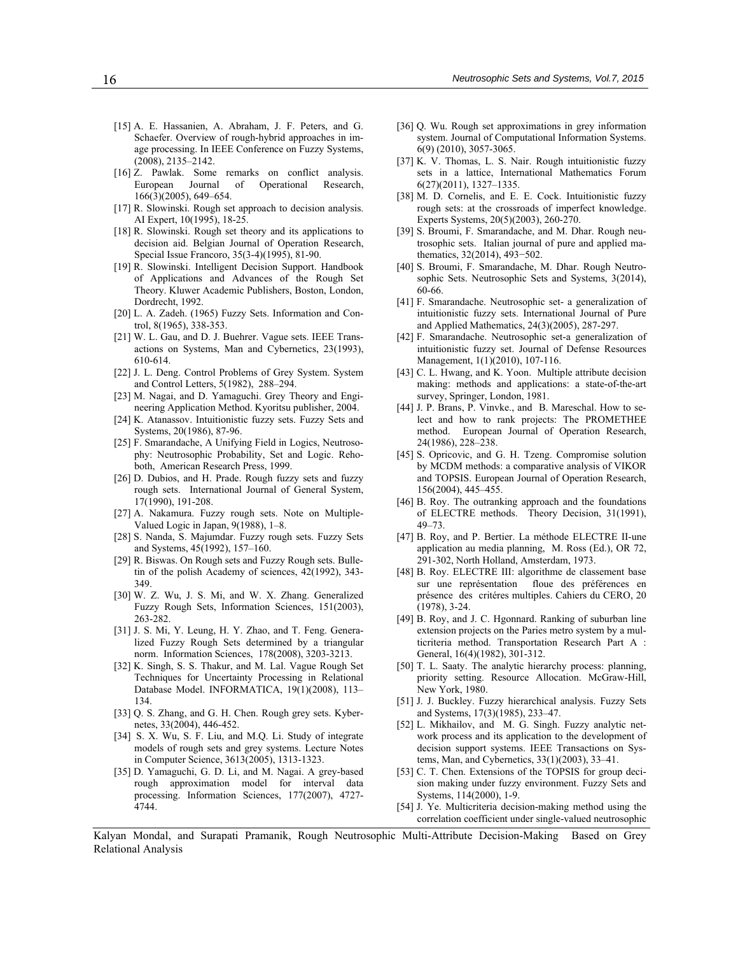- [15] A. E. Hassanien, A. Abraham, J. F. Peters, and G. Schaefer. Overview of rough-hybrid approaches in image processing. In IEEE Conference on Fuzzy Systems, (2008), 2135–2142.
- [16] Z. Pawlak. Some remarks on conflict analysis. European Journal of Operational Research, 166(3)(2005), 649–654.
- [17] R. Slowinski. Rough set approach to decision analysis. AI Expert, 10(1995), 18-25.
- [18] R. Slowinski. Rough set theory and its applications to decision aid. Belgian Journal of Operation Research, Special Issue Francoro, 35(3-4)(1995), 81-90.
- [19] R. Slowinski. Intelligent Decision Support. Handbook of Applications and Advances of the Rough Set Theory. Kluwer Academic Publishers, Boston, London, Dordrecht, 1992.
- [20] L. A. Zadeh. (1965) Fuzzy Sets. Information and Control, 8(1965), 338-353.
- [21] W. L. Gau, and D. J. Buehrer. Vague sets. IEEE Transactions on Systems, Man and Cybernetics, 23(1993), 610-614.
- [22] J. L. Deng. Control Problems of Grey System. System and Control Letters, 5(1982), 288–294.
- [23] M. Nagai, and D. Yamaguchi. Grey Theory and Engineering Application Method. Kyoritsu publisher, 2004.
- [24] K. Atanassov. Intuitionistic fuzzy sets. Fuzzy Sets and Systems, 20(1986), 87-96.
- [25] F. Smarandache, A Unifying Field in Logics, Neutrosophy: Neutrosophic Probability, Set and Logic. Rehoboth, American Research Press, 1999.
- [26] D. Dubios, and H. Prade. Rough fuzzy sets and fuzzy rough sets. International Journal of General System, 17(1990), 191-208.
- [27] A. Nakamura. Fuzzy rough sets. Note on Multiple-Valued Logic in Japan, 9(1988), 1–8.
- [28] S. Nanda, S. Majumdar. Fuzzy rough sets. Fuzzy Sets and Systems, 45(1992), 157–160.
- [29] R. Biswas. On Rough sets and Fuzzy Rough sets. Bulletin of the polish Academy of sciences, 42(1992), 343- 349.
- [30] W. Z. Wu, J. S. Mi, and W. X. Zhang. Generalized Fuzzy Rough Sets, Information Sciences, 151(2003), 263-282.
- [31] J. S. Mi, Y. Leung, H. Y. Zhao, and T. Feng. Generalized Fuzzy Rough Sets determined by a triangular norm. Information Sciences, 178(2008), 3203-3213.
- [32] K. Singh, S. S. Thakur, and M. Lal. Vague Rough Set Techniques for Uncertainty Processing in Relational Database Model. INFORMATICA, 19(1)(2008), 113– 134.
- [33] Q. S. Zhang, and G. H. Chen. Rough grey sets. Kybernetes, 33(2004), 446-452.
- [34] S. X. Wu, S. F. Liu, and M.Q. Li. Study of integrate models of rough sets and grey systems. Lecture Notes in Computer Science, 3613(2005), 1313-1323.
- [35] D. Yamaguchi, G. D. Li, and M. Nagai. A grey-based rough approximation model for interval data processing. Information Sciences, 177(2007), 4727- 4744.
- [36] Q. Wu. Rough set approximations in grey information system. Journal of Computational Information Systems. 6(9) (2010), 3057-3065.
- [37] K. V. Thomas, L. S. Nair. Rough intuitionistic fuzzy sets in a lattice, International Mathematics Forum 6(27)(2011), 1327–1335.
- [38] M. D. Cornelis, and E. E. Cock. Intuitionistic fuzzy rough sets: at the crossroads of imperfect knowledge. Experts Systems, 20(5)(2003), 260-270.
- [39] S. Broumi, F. Smarandache, and M. Dhar. Rough neutrosophic sets. Italian journal of pure and applied mathematics, 32(2014), 493−502.
- [40] S. Broumi, F. Smarandache, M. Dhar. Rough Neutrosophic Sets. Neutrosophic Sets and Systems, 3(2014), 60-66.
- [41] F. Smarandache. Neutrosophic set- a generalization of intuitionistic fuzzy sets. International Journal of Pure and Applied Mathematics, 24(3)(2005), 287-297.
- [42] F. Smarandache. Neutrosophic set-a generalization of intuitionistic fuzzy set. Journal of Defense Resources Management, 1(1)(2010), 107-116.
- [43] C. L. Hwang, and K. Yoon. Multiple attribute decision making: methods and applications: a state-of-the-art survey, Springer, London, 1981.
- [44] J. P. Brans, P. Vinvke., and B. Mareschal. How to select and how to rank projects: The PROMETHEE method. European Journal of Operation Research, 24(1986), 228–238.
- [45] S. Opricovic, and G. H. Tzeng. Compromise solution by MCDM methods: a comparative analysis of VIKOR and TOPSIS. European Journal of Operation Research, 156(2004), 445–455.
- [46] B. Roy. The outranking approach and the foundations of ELECTRE methods. Theory Decision, 31(1991), 49–73.
- [47] B. Roy, and P. Bertier. La méthode ELECTRE II-une application au media planning, M. Ross (Ed.), OR 72, 291-302, North Holland, Amsterdam, 1973.
- [48] B. Roy. ELECTRE III: algorithme de classement base sur une représentation floue des préférences en présence des critéres multiples. Cahiers du CERO, 20 (1978), 3-24.
- [49] B. Roy, and J. C. Hgonnard. Ranking of suburban line extension projects on the Paries metro system by a multicriteria method. Transportation Research Part A : General, 16(4)(1982), 301-312.
- [50] T. L. Saaty. The analytic hierarchy process: planning, priority setting. Resource Allocation. McGraw-Hill, New York, 1980.
- [51] J. J. Buckley. Fuzzy hierarchical analysis. Fuzzy Sets and Systems, 17(3)(1985), 233–47.
- [52] L. Mikhailov, and M. G. Singh. Fuzzy analytic network process and its application to the development of decision support systems. IEEE Transactions on Systems, Man, and Cybernetics, 33(1)(2003), 33–41.
- [53] C. T. Chen. Extensions of the TOPSIS for group decision making under fuzzy environment. Fuzzy Sets and Systems, 114(2000), 1-9.
- [54] J. Ye. Multicriteria decision-making method using the correlation coefficient under single-valued neutrosophic